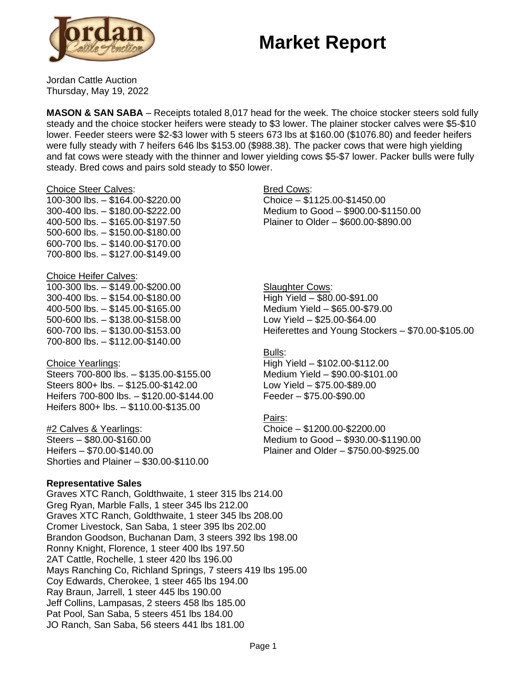# **Market Report**



Jordan Cattle Auction Thursday, May 19, 2022

**MASON & SAN SABA** – Receipts totaled 8,017 head for the week. The choice stocker steers sold fully steady and the choice stocker heifers were steady to \$3 lower. The plainer stocker calves were \$5-\$10 lower. Feeder steers were \$2-\$3 lower with 5 steers 673 lbs at \$160.00 (\$1076.80) and feeder heifers were fully steady with 7 heifers 646 lbs \$153.00 (\$988.38). The packer cows that were high yielding and fat cows were steady with the thinner and lower yielding cows \$5-\$7 lower. Packer bulls were fully steady. Bred cows and pairs sold steady to \$50 lower.

#### Choice Steer Calves:

100-300 lbs. – \$164.00-\$220.00 300-400 lbs. – \$180.00-\$222.00 400-500 lbs. – \$165.00-\$197.50 500-600 lbs. – \$150.00-\$180.00 600-700 lbs. – \$140.00-\$170.00 700-800 lbs. – \$127.00-\$149.00

### Choice Heifer Calves:

100-300 lbs. – \$149.00-\$200.00 300-400 lbs. – \$154.00-\$180.00 400-500 lbs. – \$145.00-\$165.00 500-600 lbs. – \$138.00-\$158.00 600-700 lbs. – \$130.00-\$153.00 700-800 lbs. – \$112.00-\$140.00

### Choice Yearlings:

Steers 700-800 lbs. – \$135.00-\$155.00 Steers 800+ lbs. – \$125.00-\$142.00 Heifers 700-800 lbs. – \$120.00-\$144.00 Heifers 800+ lbs. – \$110.00-\$135.00

### #2 Calves & Yearlings:

Steers – \$80.00-\$160.00 Heifers – \$70.00-\$140.00 Shorties and Plainer – \$30.00-\$110.00

### **Representative Sales**

Graves XTC Ranch, Goldthwaite, 1 steer 315 lbs 214.00 Greg Ryan, Marble Falls, 1 steer 345 lbs 212.00 Graves XTC Ranch, Goldthwaite, 1 steer 345 lbs 208.00 Cromer Livestock, San Saba, 1 steer 395 lbs 202.00 Brandon Goodson, Buchanan Dam, 3 steers 392 lbs 198.00 Ronny Knight, Florence, 1 steer 400 lbs 197.50 2AT Cattle, Rochelle, 1 steer 420 lbs 196.00 Mays Ranching Co, Richland Springs, 7 steers 419 lbs 195.00 Coy Edwards, Cherokee, 1 steer 465 lbs 194.00 Ray Braun, Jarrell, 1 steer 445 lbs 190.00 Jeff Collins, Lampasas, 2 steers 458 lbs 185.00 Pat Pool, San Saba, 5 steers 451 lbs 184.00 JO Ranch, San Saba, 56 steers 441 lbs 181.00

### Bred Cows:

Choice – \$1125.00-\$1450.00 Medium to Good – \$900.00-\$1150.00 Plainer to Older – \$600.00-\$890.00

**Slaughter Cows:** High Yield – \$80.00-\$91.00 Medium Yield – \$65.00-\$79.00 Low Yield – \$25.00-\$64.00 Heiferettes and Young Stockers – \$70.00-\$105.00

### Bulls:

High Yield – \$102.00-\$112.00 Medium Yield – \$90.00-\$101.00 Low Yield – \$75.00-\$89.00 Feeder – \$75.00-\$90.00

### Pairs:

Choice – \$1200.00-\$2200.00 Medium to Good – \$930.00-\$1190.00 Plainer and Older – \$750.00-\$925.00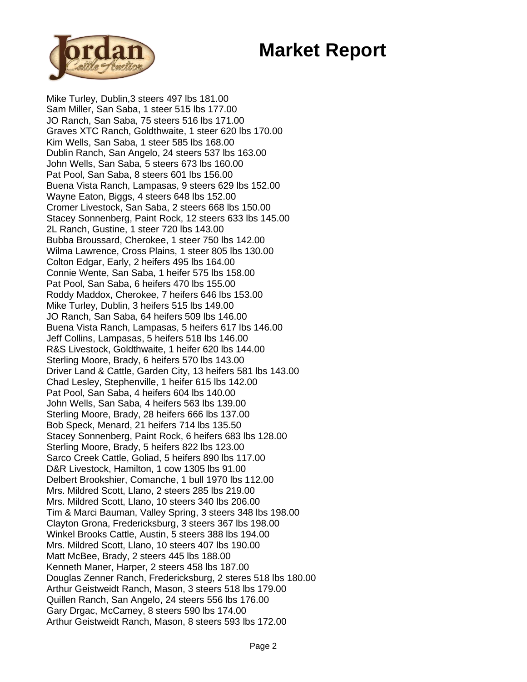# **Market Report**



Mike Turley, Dublin,3 steers 497 lbs 181.00 Sam Miller, San Saba, 1 steer 515 lbs 177.00 JO Ranch, San Saba, 75 steers 516 lbs 171.00 Graves XTC Ranch, Goldthwaite, 1 steer 620 lbs 170.00 Kim Wells, San Saba, 1 steer 585 lbs 168.00 Dublin Ranch, San Angelo, 24 steers 537 lbs 163.00 John Wells, San Saba, 5 steers 673 lbs 160.00 Pat Pool, San Saba, 8 steers 601 lbs 156.00 Buena Vista Ranch, Lampasas, 9 steers 629 lbs 152.00 Wayne Eaton, Biggs, 4 steers 648 lbs 152.00 Cromer Livestock, San Saba, 2 steers 668 lbs 150.00 Stacey Sonnenberg, Paint Rock, 12 steers 633 lbs 145.00 2L Ranch, Gustine, 1 steer 720 lbs 143.00 Bubba Broussard, Cherokee, 1 steer 750 lbs 142.00 Wilma Lawrence, Cross Plains, 1 steer 805 lbs 130.00 Colton Edgar, Early, 2 heifers 495 lbs 164.00 Connie Wente, San Saba, 1 heifer 575 lbs 158.00 Pat Pool, San Saba, 6 heifers 470 lbs 155.00 Roddy Maddox, Cherokee, 7 heifers 646 lbs 153.00 Mike Turley, Dublin, 3 heifers 515 lbs 149.00 JO Ranch, San Saba, 64 heifers 509 lbs 146.00 Buena Vista Ranch, Lampasas, 5 heifers 617 lbs 146.00 Jeff Collins, Lampasas, 5 heifers 518 lbs 146.00 R&S Livestock, Goldthwaite, 1 heifer 620 lbs 144.00 Sterling Moore, Brady, 6 heifers 570 lbs 143.00 Driver Land & Cattle, Garden City, 13 heifers 581 lbs 143.00 Chad Lesley, Stephenville, 1 heifer 615 lbs 142.00 Pat Pool, San Saba, 4 heifers 604 lbs 140.00 John Wells, San Saba, 4 heifers 563 lbs 139.00 Sterling Moore, Brady, 28 heifers 666 lbs 137.00 Bob Speck, Menard, 21 heifers 714 lbs 135.50 Stacey Sonnenberg, Paint Rock, 6 heifers 683 lbs 128.00 Sterling Moore, Brady, 5 heifers 822 lbs 123.00 Sarco Creek Cattle, Goliad, 5 heifers 890 lbs 117.00 D&R Livestock, Hamilton, 1 cow 1305 lbs 91.00 Delbert Brookshier, Comanche, 1 bull 1970 lbs 112.00 Mrs. Mildred Scott, Llano, 2 steers 285 lbs 219.00 Mrs. Mildred Scott, Llano, 10 steers 340 lbs 206.00 Tim & Marci Bauman, Valley Spring, 3 steers 348 lbs 198.00 Clayton Grona, Fredericksburg, 3 steers 367 lbs 198.00 Winkel Brooks Cattle, Austin, 5 steers 388 lbs 194.00 Mrs. Mildred Scott, Llano, 10 steers 407 lbs 190.00 Matt McBee, Brady, 2 steers 445 lbs 188.00 Kenneth Maner, Harper, 2 steers 458 lbs 187.00 Douglas Zenner Ranch, Fredericksburg, 2 steres 518 lbs 180.00 Arthur Geistweidt Ranch, Mason, 3 steers 518 lbs 179.00 Quillen Ranch, San Angelo, 24 steers 556 lbs 176.00 Gary Drgac, McCamey, 8 steers 590 lbs 174.00 Arthur Geistweidt Ranch, Mason, 8 steers 593 lbs 172.00